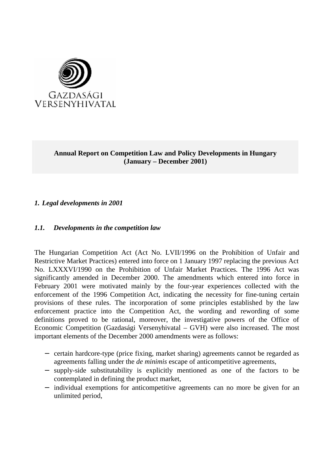

# **Annual Report on Competition Law and Policy Developments in Hungary (January – December 2001)**

# *1. Legal developments in 2001*

## *1.1. Developments in the competition law*

The Hungarian Competition Act (Act No. LVII/1996 on the Prohibition of Unfair and Restrictive Market Practices) entered into force on 1 January 1997 replacing the previous Act No. LXXXVI/1990 on the Prohibition of Unfair Market Practices. The 1996 Act was significantly amended in December 2000. The amendments which entered into force in February 2001 were motivated mainly by the four-year experiences collected with the enforcement of the 1996 Competition Act, indicating the necessity for fine-tuning certain provisions of these rules. The incorporation of some principles established by the law enforcement practice into the Competition Act, the wording and rewording of some definitions proved to be rational, moreover, the investigative powers of the Office of Economic Competition (Gazdasági Versenyhivatal – GVH) were also increased. The most important elements of the December 2000 amendments were as follows:

- − certain hardcore-type (price fixing, market sharing) agreements cannot be regarded as agreements falling under the *de minimis* escape of anticompetitive agreements,
- − supply-side substitutability is explicitly mentioned as one of the factors to be contemplated in defining the product market,
- − individual exemptions for anticompetitive agreements can no more be given for an unlimited period,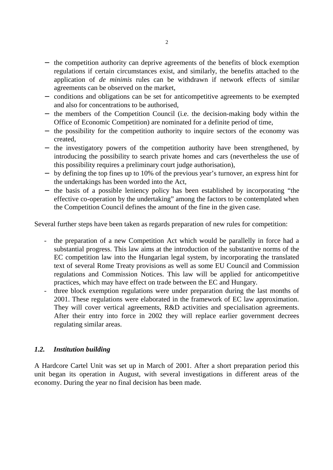- − the competition authority can deprive agreements of the benefits of block exemption regulations if certain circumstances exist, and similarly, the benefits attached to the application of *de minimis* rules can be withdrawn if network effects of similar agreements can be observed on the market,
- − conditions and obligations can be set for anticompetitive agreements to be exempted and also for concentrations to be authorised,
- − the members of the Competition Council (i.e. the decision-making body within the Office of Economic Competition) are nominated for a definite period of time,
- − the possibility for the competition authority to inquire sectors of the economy was created,
- − the investigatory powers of the competition authority have been strengthened, by introducing the possibility to search private homes and cars (nevertheless the use of this possibility requires a preliminary court judge authorisation),
- − by defining the top fines up to 10% of the previous year's turnover, an express hint for the undertakings has been worded into the Act,
- − the basis of a possible leniency policy has been established by incorporating "the effective co-operation by the undertaking" among the factors to be contemplated when the Competition Council defines the amount of the fine in the given case.

Several further steps have been taken as regards preparation of new rules for competition:

- the preparation of a new Competition Act which would be parallelly in force had a substantial progress. This law aims at the introduction of the substantive norms of the EC competition law into the Hungarian legal system, by incorporating the translated text of several Rome Treaty provisions as well as some EU Council and Commission regulations and Commission Notices. This law will be applied for anticompetitive practices, which may have effect on trade between the EC and Hungary.
- three block exemption regulations were under preparation during the last months of 2001. These regulations were elaborated in the framework of EC law approximation. They will cover vertical agreements, R&D activities and specialisation agreements. After their entry into force in 2002 they will replace earlier government decrees regulating similar areas.

# *1.2. Institution building*

A Hardcore Cartel Unit was set up in March of 2001. After a short preparation period this unit began its operation in August, with several investigations in different areas of the economy. During the year no final decision has been made.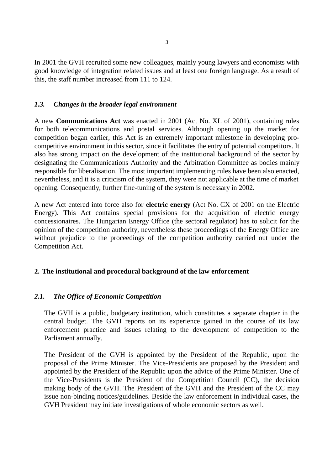In 2001 the GVH recruited some new colleagues, mainly young lawyers and economists with good knowledge of integration related issues and at least one foreign language. As a result of this, the staff number increased from 111 to 124.

## *1.3. Changes in the broader legal environment*

A new **Communications Act** was enacted in 2001 (Act No. XL of 2001), containing rules for both telecommunications and postal services. Although opening up the market for competition began earlier, this Act is an extremely important milestone in developing procompetitive environment in this sector, since it facilitates the entry of potential competitors. It also has strong impact on the development of the institutional background of the sector by designating the Communications Authority and the Arbitration Committee as bodies mainly responsible for liberalisation. The most important implementing rules have been also enacted, nevertheless, and it is a criticism of the system, they were not applicable at the time of market opening. Consequently, further fine-tuning of the system is necessary in 2002.

A new Act entered into force also for **electric energy** (Act No. CX of 2001 on the Electric Energy). This Act contains special provisions for the acquisition of electric energy concessionaires. The Hungarian Energy Office (the sectoral regulator) has to solicit for the opinion of the competition authority, nevertheless these proceedings of the Energy Office are without prejudice to the proceedings of the competition authority carried out under the Competition Act.

# **2. The institutional and procedural background of the law enforcement**

# *2.1. The Office of Economic Competition*

The GVH is a public, budgetary institution, which constitutes a separate chapter in the central budget. The GVH reports on its experience gained in the course of its law enforcement practice and issues relating to the development of competition to the Parliament annually.

The President of the GVH is appointed by the President of the Republic, upon the proposal of the Prime Minister. The Vice-Presidents are proposed by the President and appointed by the President of the Republic upon the advice of the Prime Minister. One of the Vice-Presidents is the President of the Competition Council (CC), the decision making body of the GVH. The President of the GVH and the President of the CC may issue non-binding notices/guidelines. Beside the law enforcement in individual cases, the GVH President may initiate investigations of whole economic sectors as well.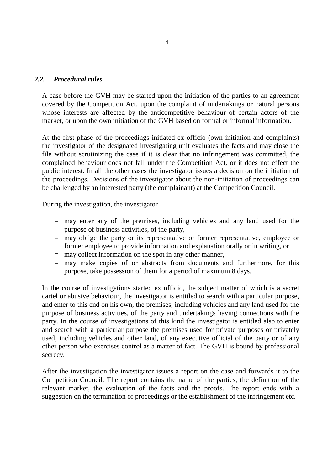## *2.2. Procedural rules*

A case before the GVH may be started upon the initiation of the parties to an agreement covered by the Competition Act, upon the complaint of undertakings or natural persons whose interests are affected by the anticompetitive behaviour of certain actors of the market, or upon the own initiation of the GVH based on formal or informal information.

At the first phase of the proceedings initiated ex officio (own initiation and complaints) the investigator of the designated investigating unit evaluates the facts and may close the file without scrutinizing the case if it is clear that no infringement was committed, the complained behaviour does not fall under the Competition Act, or it does not effect the public interest. In all the other cases the investigator issues a decision on the initiation of the proceedings. Decisions of the investigator about the non-initiation of proceedings can be challenged by an interested party (the complainant) at the Competition Council.

During the investigation, the investigator

- = may enter any of the premises, including vehicles and any land used for the purpose of business activities, of the party,
- = may oblige the party or its representative or former representative, employee or former employee to provide information and explanation orally or in writing, or
- = may collect information on the spot in any other manner,
- = may make copies of or abstracts from documents and furthermore, for this purpose, take possession of them for a period of maximum 8 days.

In the course of investigations started ex officio, the subject matter of which is a secret cartel or abusive behaviour, the investigator is entitled to search with a particular purpose, and enter to this end on his own, the premises, including vehicles and any land used for the purpose of business activities, of the party and undertakings having connections with the party. In the course of investigations of this kind the investigator is entitled also to enter and search with a particular purpose the premises used for private purposes or privately used, including vehicles and other land, of any executive official of the party or of any other person who exercises control as a matter of fact. The GVH is bound by professional secrecy.

After the investigation the investigator issues a report on the case and forwards it to the Competition Council. The report contains the name of the parties, the definition of the relevant market, the evaluation of the facts and the proofs. The report ends with a suggestion on the termination of proceedings or the establishment of the infringement etc.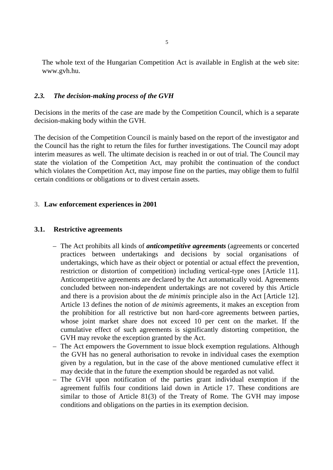The whole text of the Hungarian Competition Act is available in English at the web site: www.gvh.hu.

### *2.3. The decision-making process of the GVH*

Decisions in the merits of the case are made by the Competition Council, which is a separate decision-making body within the GVH.

The decision of the Competition Council is mainly based on the report of the investigator and the Council has the right to return the files for further investigations. The Council may adopt interim measures as well. The ultimate decision is reached in or out of trial. The Council may state the violation of the Competition Act, may prohibit the continuation of the conduct which violates the Competition Act, may impose fine on the parties, may oblige them to fulfil certain conditions or obligations or to divest certain assets.

### **3. Law enforcement experiences in 2001**

#### **3.1. Restrictive agreements**

- The Act prohibits all kinds of *anticompetitive agreements* (agreements or concerted practices between undertakings and decisions by social organisations of undertakings, which have as their object or potential or actual effect the prevention, restriction or distortion of competition) including vertical-type ones [Article 11]. Anticompetitive agreements are declared by the Act automatically void. Agreements concluded between non-independent undertakings are not covered by this Article and there is a provision about the *de minimis* principle also in the Act [Article 12]. Article 13 defines the notion of *de minimis* agreements, it makes an exception from the prohibition for all restrictive but non hard-core agreements between parties, whose joint market share does not exceed 10 per cent on the market. If the cumulative effect of such agreements is significantly distorting competition, the GVH may revoke the exception granted by the Act.
- The Act empowers the Government to issue block exemption regulations. Although the GVH has no general authorisation to revoke in individual cases the exemption given by a regulation, but in the case of the above mentioned cumulative effect it may decide that in the future the exemption should be regarded as not valid.
- The GVH upon notification of the parties grant individual exemption if the agreement fulfils four conditions laid down in Article 17. These conditions are similar to those of Article 81(3) of the Treaty of Rome. The GVH may impose conditions and obligations on the parties in its exemption decision.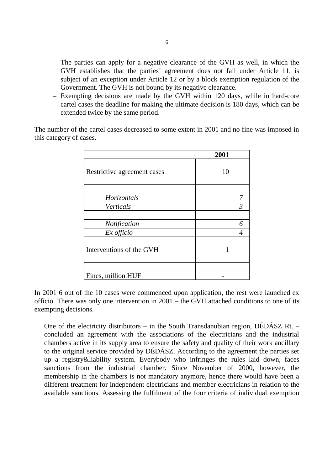- The parties can apply for a negative clearance of the GVH as well, in which the GVH establishes that the parties' agreement does not fall under Article 11, is subject of an exception under Article 12 or by a block exemption regulation of the Government. The GVH is not bound by its negative clearance.
- Exempting decisions are made by the GVH within 120 days, while in hard-core cartel cases the deadline for making the ultimate decision is 180 days, which can be extended twice by the same period.

The number of the cartel cases decreased to some extent in 2001 and no fine was imposed in this category of cases.

|                             | 2001           |
|-----------------------------|----------------|
| Restrictive agreement cases | 10             |
|                             |                |
| Horizontals                 |                |
| Verticals                   | $\mathfrak{Z}$ |
|                             |                |
| Notification                |                |
| Ex officio                  |                |
| Interventions of the GVH    |                |
|                             |                |
| Fines, million HUF          |                |

In 2001 6 out of the 10 cases were commenced upon application, the rest were launched ex officio. There was only one intervention in 2001 – the GVH attached conditions to one of its exempting decisions.

One of the electricity distributors – in the South Transdanubian region, DÉDÁSZ Rt. – concluded an agreement with the associations of the electricians and the industrial chambers active in its supply area to ensure the safety and quality of their work ancillary to the original service provided by DÉDÁSZ. According to the agreement the parties set up a registry&liability system. Everybody who infringes the rules laid down, faces sanctions from the industrial chamber. Since November of 2000, however, the membership in the chambers is not mandatory anymore, hence there would have been a different treatment for independent electricians and member electricians in relation to the available sanctions. Assessing the fulfilment of the four criteria of individual exemption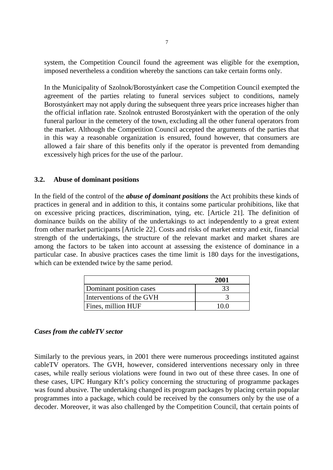system, the Competition Council found the agreement was eligible for the exemption, imposed nevertheless a condition whereby the sanctions can take certain forms only.

In the Municipality of Szolnok/Borostyánkert case the Competition Council exempted the agreement of the parties relating to funeral services subject to conditions, namely Borostyánkert may not apply during the subsequent three years price increases higher than the official inflation rate. Szolnok entrusted Borostyánkert with the operation of the only funeral parlour in the cemetery of the town, excluding all the other funeral operators from the market. Although the Competition Council accepted the arguments of the parties that in this way a reasonable organization is ensured, found however, that consumers are allowed a fair share of this benefits only if the operator is prevented from demanding excessively high prices for the use of the parlour.

## **3.2. Abuse of dominant positions**

In the field of the control of the *abuse of dominant positions* the Act prohibits these kinds of practices in general and in addition to this, it contains some particular prohibitions, like that on excessive pricing practices, discrimination, tying, etc. [Article 21]. The definition of dominance builds on the ability of the undertakings to act independently to a great extent from other market participants [Article 22]. Costs and risks of market entry and exit, financial strength of the undertakings, the structure of the relevant market and market shares are among the factors to be taken into account at assessing the existence of dominance in a particular case. In abusive practices cases the time limit is 180 days for the investigations, which can be extended twice by the same period.

|                          | 2001 |
|--------------------------|------|
| Dominant position cases  |      |
| Interventions of the GVH |      |
| Fines, million HUF       | 10 O |

#### *Cases from the cableTV sector*

Similarly to the previous years, in 2001 there were numerous proceedings instituted against cableTV operators. The GVH, however, considered interventions necessary only in three cases, while really serious violations were found in two out of these three cases. In one of these cases, UPC Hungary Kft's policy concerning the structuring of programme packages was found abusive. The undertaking changed its program packages by placing certain popular programmes into a package, which could be received by the consumers only by the use of a decoder. Moreover, it was also challenged by the Competition Council, that certain points of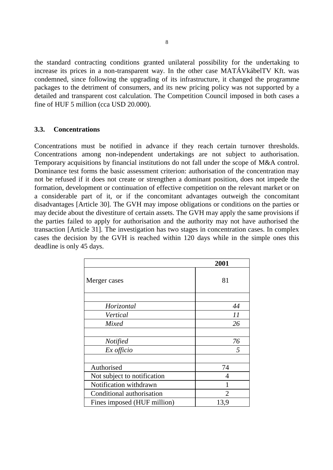the standard contracting conditions granted unilateral possibility for the undertaking to increase its prices in a non-transparent way. In the other case MATÁVkábelTV Kft. was condemned, since following the upgrading of its infrastructure, it changed the programme packages to the detriment of consumers, and its new pricing policy was not supported by a detailed and transparent cost calculation. The Competition Council imposed in both cases a fine of HUF 5 million (cca USD 20.000).

#### **3.3. Concentrations**

Concentrations must be notified in advance if they reach certain turnover thresholds. Concentrations among non-independent undertakings are not subject to authorisation. Temporary acquisitions by financial institutions do not fall under the scope of M&A control. Dominance test forms the basic assessment criterion: authorisation of the concentration may not be refused if it does not create or strengthen a dominant position, does not impede the formation, development or continuation of effective competition on the relevant market or on a considerable part of it, or if the concomitant advantages outweigh the concomitant disadvantages [Article 30]. The GVH may impose obligations or conditions on the parties or may decide about the divestiture of certain assets. The GVH may apply the same provisions if the parties failed to apply for authorisation and the authority may not have authorised the transaction [Article 31]. The investigation has two stages in concentration cases. In complex cases the decision by the GVH is reached within 120 days while in the simple ones this deadline is only 45 days.

|                             | 2001           |
|-----------------------------|----------------|
| Merger cases                | 81             |
| Horizontal                  | 44             |
| Vertical                    | 11             |
| Mixed                       | 26             |
| <b>Notified</b>             | 76             |
| Ex officio                  | 5              |
| Authorised                  | 74             |
| Not subject to notification | 4              |
| Notification withdrawn      | 1              |
| Conditional authorisation   | $\overline{2}$ |
| Fines imposed (HUF million) | 13,9           |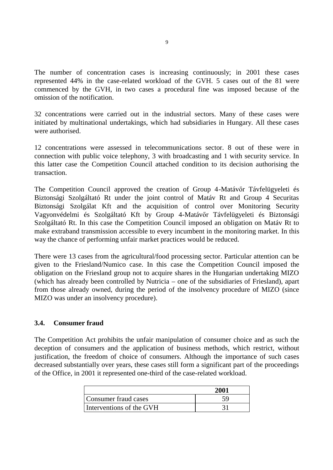The number of concentration cases is increasing continuously; in 2001 these cases represented 44% in the case-related workload of the GVH. 5 cases out of the 81 were commenced by the GVH, in two cases a procedural fine was imposed because of the omission of the notification.

32 concentrations were carried out in the industrial sectors. Many of these cases were initiated by multinational undertakings, which had subsidiaries in Hungary. All these cases were authorised.

12 concentrations were assessed in telecommunications sector. 8 out of these were in connection with public voice telephony, 3 with broadcasting and 1 with security service. In this latter case the Competition Council attached condition to its decision authorising the transaction.

The Competition Council approved the creation of Group 4-Matávőr Távfelügyeleti és Biztonsági Szolgáltató Rt under the joint control of Matáv Rt and Group 4 Securitas Biztonsági Szolgálat Kft and the acquisition of control over Monitoring Security Vagyonvédelmi és Szolgáltató Kft by Group 4-Matávőr Távfelügyeleti és Biztonsági Szolgáltató Rt. In this case the Competition Council imposed an obligation on Matáv Rt to make extraband transmission accessible to every incumbent in the monitoring market. In this way the chance of performing unfair market practices would be reduced.

There were 13 cases from the agricultural/food processing sector. Particular attention can be given to the Friesland/Numico case. In this case the Competition Council imposed the obligation on the Friesland group not to acquire shares in the Hungarian undertaking MIZO (which has already been controlled by Nutricia – one of the subsidiaries of Friesland), apart from those already owned, during the period of the insolvency procedure of MIZO (since MIZO was under an insolvency procedure).

## **3.4. Consumer fraud**

The Competition Act prohibits the unfair manipulation of consumer choice and as such the deception of consumers and the application of business methods, which restrict, without justification, the freedom of choice of consumers. Although the importance of such cases decreased substantially over years, these cases still form a significant part of the proceedings of the Office, in 2001 it represented one-third of the case-related workload.

|                          | 2001 |
|--------------------------|------|
| Consumer fraud cases     |      |
| Interventions of the GVH |      |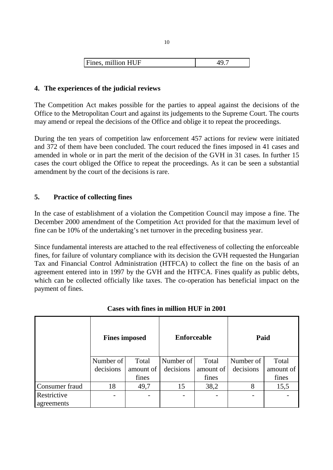## **4. The experiences of the judicial reviews**

The Competition Act makes possible for the parties to appeal against the decisions of the Office to the Metropolitan Court and against its judgements to the Supreme Court. The courts may amend or repeal the decisions of the Office and oblige it to repeat the proceedings.

During the ten years of competition law enforcement 457 actions for review were initiated and 372 of them have been concluded. The court reduced the fines imposed in 41 cases and amended in whole or in part the merit of the decision of the GVH in 31 cases. In further 15 cases the court obliged the Office to repeat the proceedings. As it can be seen a substantial amendment by the court of the decisions is rare.

## **5. Practice of collecting fines**

In the case of establishment of a violation the Competition Council may impose a fine. The December 2000 amendment of the Competition Act provided for that the maximum level of fine can be 10% of the undertaking's net turnover in the preceding business year.

Since fundamental interests are attached to the real effectiveness of collecting the enforceable fines, for failure of voluntary compliance with its decision the GVH requested the Hungarian Tax and Financial Control Administration (HTFCA) to collect the fine on the basis of an agreement entered into in 1997 by the GVH and the HTFCA. Fines qualify as public debts, which can be collected officially like taxes. The co-operation has beneficial impact on the payment of fines.

|                | <b>Fines imposed</b> |           | <b>Enforceable</b> |           | Paid      |           |
|----------------|----------------------|-----------|--------------------|-----------|-----------|-----------|
|                | Number of            | Total     | Number of          | Total     | Number of | Total     |
|                | decisions            | amount of | decisions          | amount of | decisions | amount of |
|                |                      | fines     |                    | fines     |           | fines     |
| Consumer fraud | 18                   | 49,7      | 15                 | 38,2      | 8         | 15,5      |
| Restrictive    |                      | -         |                    |           |           |           |
| agreements     |                      |           |                    |           |           |           |

## **Cases with fines in million HUF in 2001**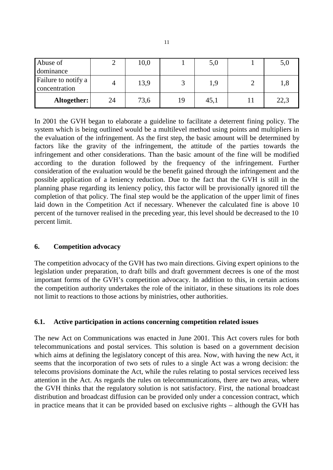| Abuse of                             |    | 10,0 |    | 5,0  | 5,0  |
|--------------------------------------|----|------|----|------|------|
| dominance                            |    |      |    |      |      |
| Failure to notify a<br>concentration |    | 13,9 |    | 1,9  | 1,8  |
| Altogether:                          | 24 | 73,6 | 19 | 45,1 | 22,3 |

In 2001 the GVH began to elaborate a guideline to facilitate a deterrent fining policy. The system which is being outlined would be a multilevel method using points and multipliers in the evaluation of the infringement. As the first step, the basic amount will be determined by factors like the gravity of the infringement, the attitude of the parties towards the infringement and other considerations. Than the basic amount of the fine will be modified according to the duration followed by the frequency of the infringement. Further consideration of the evaluation would be the benefit gained through the infringement and the possible application of a leniency reduction. Due to the fact that the GVH is still in the planning phase regarding its leniency policy, this factor will be provisionally ignored till the completion of that policy. The final step would be the application of the upper limit of fines laid down in the Competition Act if necessary. Whenever the calculated fine is above 10 percent of the turnover realised in the preceding year, this level should be decreased to the 10 percent limit.

## **6. Competition advocacy**

The competition advocacy of the GVH has two main directions. Giving expert opinions to the legislation under preparation, to draft bills and draft government decrees is one of the most important forms of the GVH's competition advocacy. In addition to this, in certain actions the competition authority undertakes the role of the initiator, in these situations its role does not limit to reactions to those actions by ministries, other authorities.

## **6.1. Active participation in actions concerning competition related issues**

The new Act on Communications was enacted in June 2001. This Act covers rules for both telecommunications and postal services. This solution is based on a government decision which aims at defining the legislatory concept of this area. Now, with having the new Act, it seems that the incorporation of two sets of rules to a single Act was a wrong decision: the telecoms provisions dominate the Act, while the rules relating to postal services received less attention in the Act. As regards the rules on telecommunications, there are two areas, where the GVH thinks that the regulatory solution is not satisfactory. First, the national broadcast distribution and broadcast diffusion can be provided only under a concession contract, which in practice means that it can be provided based on exclusive rights – although the GVH has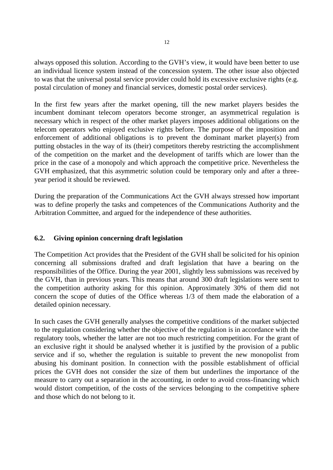always opposed this solution. According to the GVH's view, it would have been better to use an individual licence system instead of the concession system. The other issue also objected to was that the universal postal service provider could hold its excessive exclusive rights (e.g. postal circulation of money and financial services, domestic postal order services).

In the first few years after the market opening, till the new market players besides the incumbent dominant telecom operators become stronger, an asymmetrical regulation is necessary which in respect of the other market players imposes additional obligations on the telecom operators who enjoyed exclusive rights before. The purpose of the imposition and enforcement of additional obligations is to prevent the dominant market player(s) from putting obstacles in the way of its (their) competitors thereby restricting the accomplishment of the competition on the market and the development of tariffs which are lower than the price in the case of a monopoly and which approach the competitive price. Nevertheless the GVH emphasized, that this asymmetric solution could be temporary only and after a threeyear period it should be reviewed.

During the preparation of the Communications Act the GVH always stressed how important was to define properly the tasks and competences of the Communications Authority and the Arbitration Committee, and argued for the independence of these authorities.

## **6.2. Giving opinion concerning draft legislation**

The Competition Act provides that the President of the GVH shall be solicited for his opinion concerning all submissions drafted and draft legislation that have a bearing on the responsibilities of the Office. During the year 2001, slightly less submissions was received by the GVH, than in previous years. This means that around 300 draft legislations were sent to the competition authority asking for this opinion. Approximately 30% of them did not concern the scope of duties of the Office whereas 1/3 of them made the elaboration of a detailed opinion necessary.

In such cases the GVH generally analyses the competitive conditions of the market subjected to the regulation considering whether the objective of the regulation is in accordance with the regulatory tools, whether the latter are not too much restricting competition. For the grant of an exclusive right it should be analysed whether it is justified by the provision of a public service and if so, whether the regulation is suitable to prevent the new monopolist from abusing his dominant position. In connection with the possible establishment of official prices the GVH does not consider the size of them but underlines the importance of the measure to carry out a separation in the accounting, in order to avoid cross-financing which would distort competition, of the costs of the services belonging to the competitive sphere and those which do not belong to it.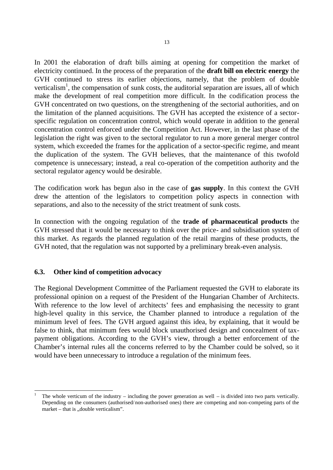In 2001 the elaboration of draft bills aiming at opening for competition the market of electricity continued. In the process of the preparation of the **draft bill on electric energy** the GVH continued to stress its earlier objections, namely, that the problem of double verticalism<sup>1</sup>, the compensation of sunk costs, the auditorial separation are issues, all of which make the development of real competition more difficult. In the codification process the GVH concentrated on two questions, on the strengthening of the sectorial authorities, and on the limitation of the planned acquisitions. The GVH has accepted the existence of a sectorspecific regulation on concentration control, which would operate in addition to the general concentration control enforced under the Competition Act. However, in the last phase of the legislation the right was given to the sectoral regulator to run a more general merger control system, which exceeded the frames for the application of a sector-specific regime, and meant the duplication of the system. The GVH believes, that the maintenance of this twofold competence is unnecessary; instead, a real co-operation of the competition authority and the sectoral regulator agency would be desirable.

The codification work has begun also in the case of **gas supply**. In this context the GVH drew the attention of the legislators to competition policy aspects in connection with separations, and also to the necessity of the strict treatment of sunk costs.

In connection with the ongoing regulation of the **trade of pharmaceutical products** the GVH stressed that it would be necessary to think over the price- and subsidisation system of this market. As regards the planned regulation of the retail margins of these products, the GVH noted, that the regulation was not supported by a preliminary break-even analysis.

## **6.3. Other kind of competition advocacy**

1

The Regional Development Committee of the Parliament requested the GVH to elaborate its professional opinion on a request of the President of the Hungarian Chamber of Architects. With reference to the low level of architects' fees and emphasising the necessity to grant high-level quality in this service, the Chamber planned to introduce a regulation of the minimum level of fees. The GVH argued against this idea, by explaining, that it would be false to think, that minimum fees would block unauthorised design and concealment of taxpayment obligations. According to the GVH's view, through a better enforcement of the Chamber's internal rules all the concerns referred to by the Chamber could be solved, so it would have been unnecessary to introduce a regulation of the minimum fees.

The whole verticum of the industry – including the power generation as well – is divided into two parts vertically. Depending on the consumers (authorised/non-authorised ones) there are competing and non-competing parts of the market – that is ...double verticalism".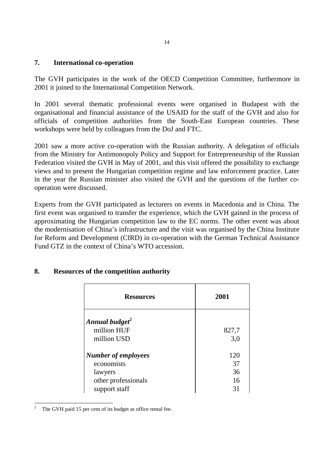### **7. International co-operation**

The GVH participates in the work of the OECD Competition Committee, furthermore in 2001 it joined to the International Competition Network.

In 2001 several thematic professional events were organised in Budapest with the organisational and financial assistance of the USAID for the staff of the GVH and also for officials of competition authorities from the South-East European countries. These workshops were held by colleagues from the DoJ and FTC.

2001 saw a more active co-operation with the Russian authority. A delegation of officials from the Ministry for Antimonopoly Policy and Support for Entrepreneurship of the Russian Federation visited the GVH in May of 2001, and this visit offered the possibility to exchange views and to present the Hungarian competition regime and law enforcement practice. Later in the year the Russian minister also visited the GVH and the questions of the further cooperation were discussed.

Experts from the GVH participated as lecturers on events in Macedonia and in China. The first event was organised to transfer the experience, which the GVH gained in the process of approximating the Hungarian competition law to the EC norms. The other event was about the modernisation of China's infrastructure and the visit was organised by the China Institute for Reform and Development (CIRD) in co-operation with the German Technical Assistance Fund GTZ in the context of China's WTO accession.

| <b>Resources</b>           | 2001  |
|----------------------------|-------|
| Annual budget <sup>2</sup> |       |
| million HUF                | 827,7 |
| million USD                | 3,0   |
| Number of employees        | 120   |
| economists                 | 37    |
| lawyers                    | 36    |
| other professionals        | 16    |
| support staff              | 31    |

## **8. Resources of the competition authority**

 $\,2$ The GVH paid 15 per cent of its budget as office rental fee.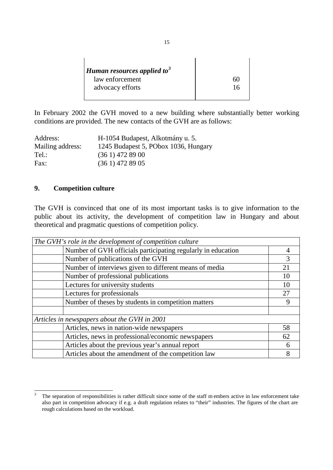| <b>Human resources applied to</b> <sup>3</sup> |        |
|------------------------------------------------|--------|
| law enforcement                                | $60 -$ |
| advocacy efforts                               | 16     |
|                                                |        |

In February 2002 the GVH moved to a new building where substantially better working conditions are provided. The new contacts of the GVH are as follows:

| Address:         | H-1054 Budapest, Alkotmány u. 5.     |
|------------------|--------------------------------------|
| Mailing address: | 1245 Budapest 5, PObox 1036, Hungary |
| Tel.:            | $(361)$ 472 89 00                    |
| Fax:             | $(361)$ 472 89 05                    |

## **9. Competition culture**

The GVH is convinced that one of its most important tasks is to give information to the public about its activity, the development of competition law in Hungary and about theoretical and pragmatic questions of competition policy.

| The GVH's role in the development of competition culture     |    |
|--------------------------------------------------------------|----|
| Number of GVH officials participating regularly in education |    |
| Number of publications of the GVH                            | 3  |
| Number of interviews given to different means of media       | 21 |
| Number of professional publications                          | 10 |
| Lectures for university students                             |    |
| Lectures for professionals                                   | 27 |
| Number of theses by students in competition matters          |    |
|                                                              |    |
| Articles in newspapers about the GVH in 2001                 |    |
| Articles, news in nation-wide newspapers                     | 58 |
| Articles, news in professional/economic newspapers           | 62 |
| Articles about the previous year's annual report             | 6  |
| Articles about the amendment of the competition law          |    |

 $\overline{3}$ The separation of responsibilities is rather difficult since some of the staff m embers active in law enforcement take also part in competition advocacy if e.g. a draft regulation relates to "their" industries. The figures of the chart are rough calculations based on the workload.